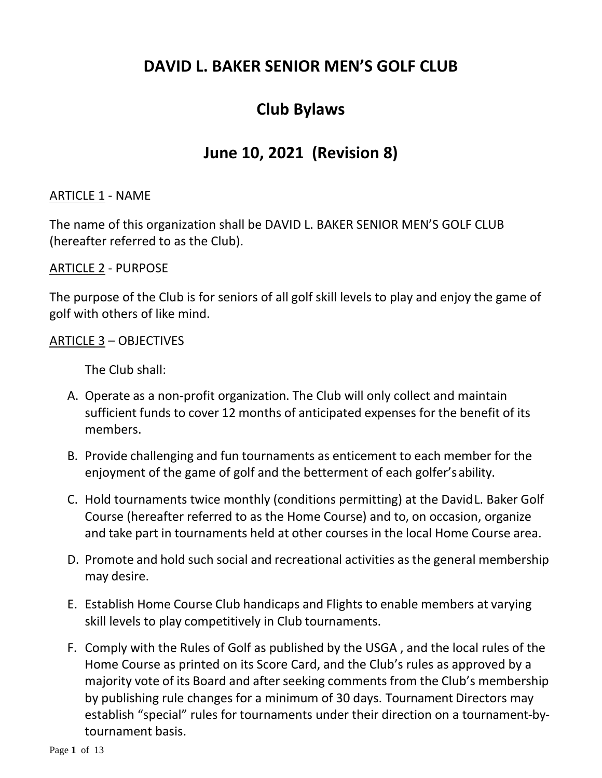## **DAVID L. BAKER SENIOR MEN'S GOLF CLUB**

# **Club Bylaws**

## **June 10, 2021 (Revision 8)**

### ARTICLE 1 - NAME

The name of this organization shall be DAVID L. BAKER SENIOR MEN'S GOLF CLUB (hereafter referred to as the Club).

#### ARTICLE 2 - PURPOSE

The purpose of the Club is for seniors of all golf skill levels to play and enjoy the game of golf with others of like mind.

ARTICLE 3 – OBJECTIVES

The Club shall:

- A. Operate as a non-profit organization. The Club will only collect and maintain sufficient funds to cover 12 months of anticipated expenses for the benefit of its members.
- B. Provide challenging and fun tournaments as enticement to each member for the enjoyment of the game of golf and the betterment of each golfer'sability.
- C. Hold tournaments twice monthly (conditions permitting) at the DavidL. Baker Golf Course (hereafter referred to as the Home Course) and to, on occasion, organize and take part in tournaments held at other courses in the local Home Course area.
- D. Promote and hold such social and recreational activities as the general membership may desire.
- E. Establish Home Course Club handicaps and Flights to enable members at varying skill levels to play competitively in Club tournaments.
- F. Comply with the Rules of Golf as published by the USGA , and the local rules of the Home Course as printed on its Score Card, and the Club's rules as approved by a majority vote of its Board and after seeking comments from the Club's membership by publishing rule changes for a minimum of 30 days. Tournament Directors may establish "special" rules for tournaments under their direction on a tournament-bytournament basis.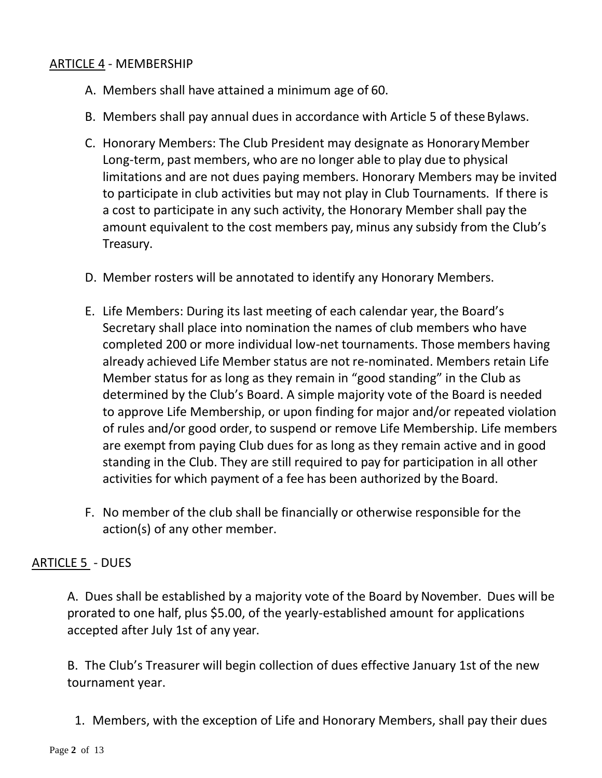## ARTICLE 4 - MEMBERSHIP

- A. Members shall have attained a minimum age of 60.
- B. Members shall pay annual dues in accordance with Article 5 of these Bylaws.
- C. Honorary Members: The Club President may designate as HonoraryMember Long-term, past members, who are no longer able to play due to physical limitations and are not dues paying members. Honorary Members may be invited to participate in club activities but may not play in Club Tournaments. If there is a cost to participate in any such activity, the Honorary Member shall pay the amount equivalent to the cost members pay, minus any subsidy from the Club's Treasury.
- D. Member rosters will be annotated to identify any Honorary Members.
- E. Life Members: During its last meeting of each calendar year, the Board's Secretary shall place into nomination the names of club members who have completed 200 or more individual low-net tournaments. Those members having already achieved Life Member status are not re-nominated. Members retain Life Member status for as long as they remain in "good standing" in the Club as determined by the Club's Board. A simple majority vote of the Board is needed to approve Life Membership, or upon finding for major and/or repeated violation of rules and/or good order, to suspend or remove Life Membership. Life members are exempt from paying Club dues for as long as they remain active and in good standing in the Club. They are still required to pay for participation in all other activities for which payment of a fee has been authorized by the Board.
- F. No member of the club shall be financially or otherwise responsible for the action(s) of any other member.

## ARTICLE 5 - DUES

A. Dues shall be established by a majority vote of the Board by November. Dues will be prorated to one half, plus \$5.00, of the yearly-established amount for applications accepted after July 1st of any year.

B. The Club's Treasurer will begin collection of dues effective January 1st of the new tournament year.

1. Members, with the exception of Life and Honorary Members, shall pay their dues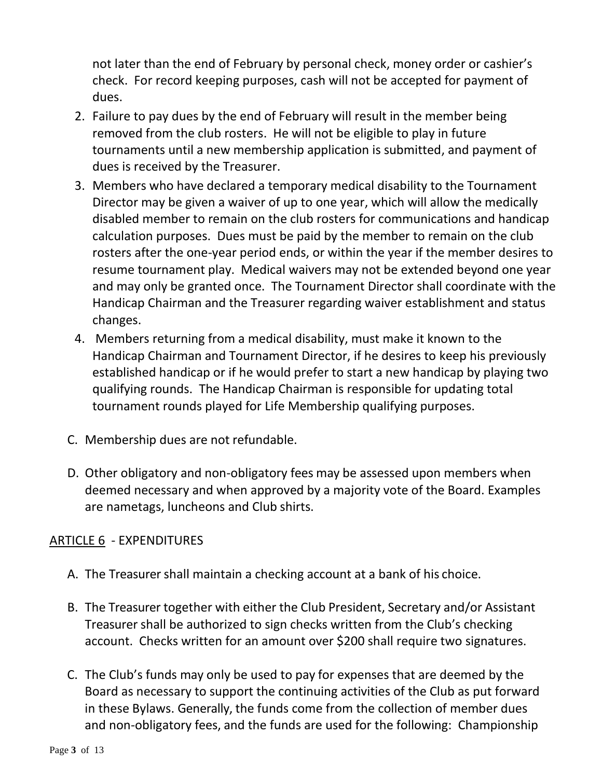not later than the end of February by personal check, money order or cashier's check. For record keeping purposes, cash will not be accepted for payment of dues.

- 2. Failure to pay dues by the end of February will result in the member being removed from the club rosters. He will not be eligible to play in future tournaments until a new membership application is submitted, and payment of dues is received by the Treasurer.
- 3. Members who have declared a temporary medical disability to the Tournament Director may be given a waiver of up to one year, which will allow the medically disabled member to remain on the club rosters for communications and handicap calculation purposes. Dues must be paid by the member to remain on the club rosters after the one-year period ends, or within the year if the member desires to resume tournament play. Medical waivers may not be extended beyond one year and may only be granted once. The Tournament Director shall coordinate with the Handicap Chairman and the Treasurer regarding waiver establishment and status changes.
- 4. Members returning from a medical disability, must make it known to the Handicap Chairman and Tournament Director, if he desires to keep his previously established handicap or if he would prefer to start a new handicap by playing two qualifying rounds. The Handicap Chairman is responsible for updating total tournament rounds played for Life Membership qualifying purposes.
- C. Membership dues are not refundable.
- D. Other obligatory and non-obligatory fees may be assessed upon members when deemed necessary and when approved by a majority vote of the Board. Examples are nametags, luncheons and Club shirts.

## ARTICLE 6 - EXPENDITURES

- A. The Treasurer shall maintain a checking account at a bank of his choice.
- B. The Treasurer together with either the Club President, Secretary and/or Assistant Treasurer shall be authorized to sign checks written from the Club's checking account. Checks written for an amount over \$200 shall require two signatures.
- C. The Club's funds may only be used to pay for expenses that are deemed by the Board as necessary to support the continuing activities of the Club as put forward in these Bylaws. Generally, the funds come from the collection of member dues and non-obligatory fees, and the funds are used for the following: Championship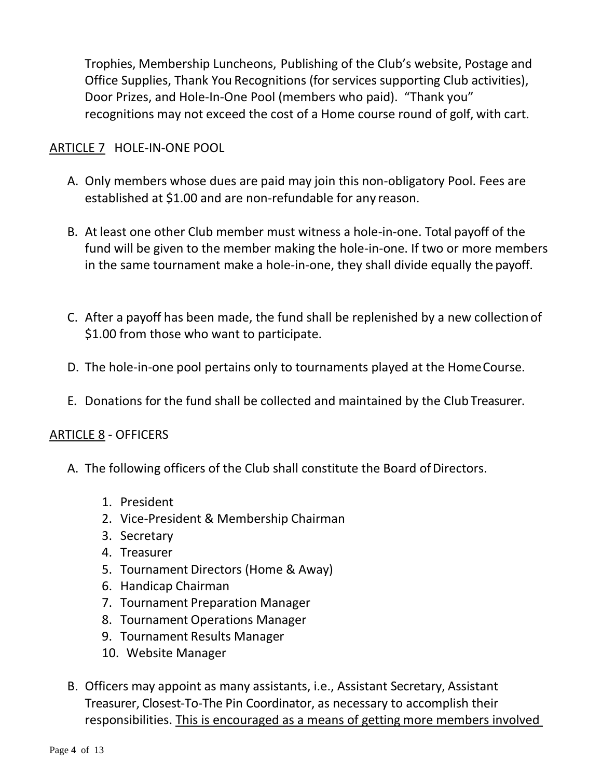Trophies, Membership Luncheons, Publishing of the Club's website, Postage and Office Supplies, Thank You Recognitions (for services supporting Club activities), Door Prizes, and Hole-In-One Pool (members who paid). "Thank you" recognitions may not exceed the cost of a Home course round of golf, with cart.

## ARTICLE 7 HOLE-IN-ONE POOL

- A. Only members whose dues are paid may join this non-obligatory Pool. Fees are established at \$1.00 and are non-refundable for any reason.
- B. At least one other Club member must witness a hole-in-one. Total payoff of the fund will be given to the member making the hole-in-one. If two or more members in the same tournament make a hole-in-one, they shall divide equally the payoff.
- C. After a payoff has been made, the fund shall be replenished by a new collectionof \$1.00 from those who want to participate.
- D. The hole-in-one pool pertains only to tournaments played at the HomeCourse.
- E. Donations for the fund shall be collected and maintained by the Club Treasurer.

#### ARTICLE 8 - OFFICERS

- A. The following officers of the Club shall constitute the Board of Directors.
	- 1. President
	- 2. Vice-President & Membership Chairman
	- 3. Secretary
	- 4. Treasurer
	- 5. Tournament Directors (Home & Away)
	- 6. Handicap Chairman
	- 7. Tournament Preparation Manager
	- 8. Tournament Operations Manager
	- 9. Tournament Results Manager
	- 10.Website Manager
- B. Officers may appoint as many assistants, i.e., Assistant Secretary, Assistant Treasurer, Closest-To-The Pin Coordinator, as necessary to accomplish their responsibilities. This is encouraged as a means of getting more members involved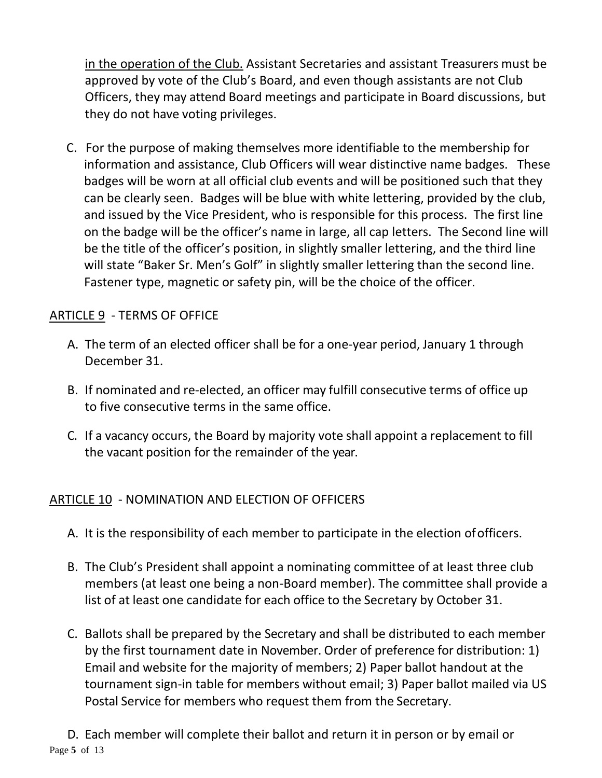in the operation of the Club. Assistant Secretaries and assistant Treasurers must be approved by vote of the Club's Board, and even though assistants are not Club Officers, they may attend Board meetings and participate in Board discussions, but they do not have voting privileges.

C. For the purpose of making themselves more identifiable to the membership for information and assistance, Club Officers will wear distinctive name badges. These badges will be worn at all official club events and will be positioned such that they can be clearly seen. Badges will be blue with white lettering, provided by the club, and issued by the Vice President, who is responsible for this process. The first line on the badge will be the officer's name in large, all cap letters. The Second line will be the title of the officer's position, in slightly smaller lettering, and the third line will state "Baker Sr. Men's Golf" in slightly smaller lettering than the second line. Fastener type, magnetic or safety pin, will be the choice of the officer.

## ARTICLE 9 - TERMS OF OFFICE

- A. The term of an elected officer shall be for a one-year period, January 1 through December 31.
- B. If nominated and re-elected, an officer may fulfill consecutive terms of office up to five consecutive terms in the same office.
- C. If a vacancy occurs, the Board by majority vote shall appoint a replacement to fill the vacant position for the remainder of the year.

#### ARTICLE 10 - NOMINATION AND ELECTION OF OFFICERS

- A. It is the responsibility of each member to participate in the election ofofficers.
- B. The Club's President shall appoint a nominating committee of at least three club members (at least one being a non-Board member). The committee shall provide a list of at least one candidate for each office to the Secretary by October 31.
- C. Ballots shall be prepared by the Secretary and shall be distributed to each member by the first tournament date in November. Order of preference for distribution: 1) Email and website for the majority of members; 2) Paper ballot handout at the tournament sign-in table for members without email; 3) Paper ballot mailed via US Postal Service for members who request them from the Secretary.

Page **5** of 13 D. Each member will complete their ballot and return it in person or by email or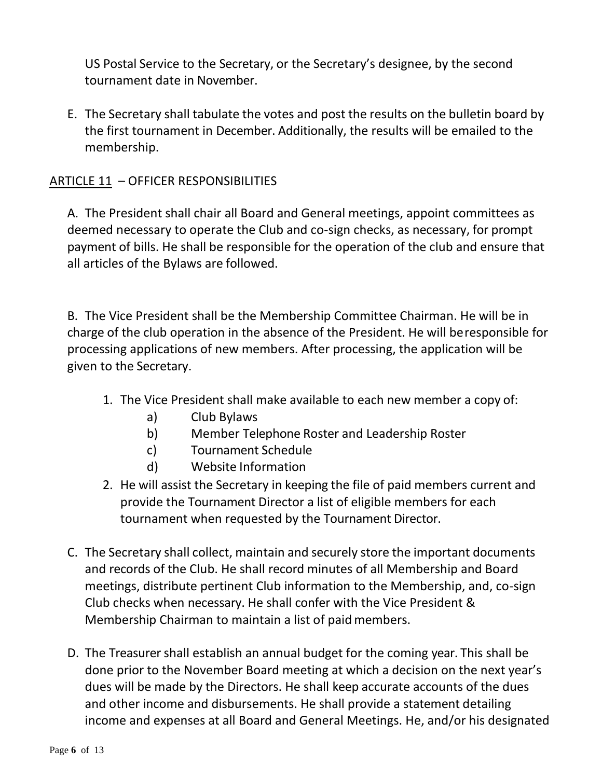US Postal Service to the Secretary, or the Secretary's designee, by the second tournament date in November.

E. The Secretary shall tabulate the votes and post the results on the bulletin board by the first tournament in December. Additionally, the results will be emailed to the membership.

## ARTICLE 11 – OFFICER RESPONSIBILITIES

A. The President shall chair all Board and General meetings, appoint committees as deemed necessary to operate the Club and co-sign checks, as necessary, for prompt payment of bills. He shall be responsible for the operation of the club and ensure that all articles of the Bylaws are followed.

B. The Vice President shall be the Membership Committee Chairman. He will be in charge of the club operation in the absence of the President. He will beresponsible for processing applications of new members. After processing, the application will be given to the Secretary.

- 1. The Vice President shall make available to each new member a copy of:
	- a) Club Bylaws
	- b) Member Telephone Roster and Leadership Roster
	- c) Tournament Schedule
	- d) Website Information
- 2. He will assist the Secretary in keeping the file of paid members current and provide the Tournament Director a list of eligible members for each tournament when requested by the Tournament Director.
- C. The Secretary shall collect, maintain and securely store the important documents and records of the Club. He shall record minutes of all Membership and Board meetings, distribute pertinent Club information to the Membership, and, co-sign Club checks when necessary. He shall confer with the Vice President & Membership Chairman to maintain a list of paidmembers.
- D. The Treasurer shall establish an annual budget for the coming year. This shall be done prior to the November Board meeting at which a decision on the next year's dues will be made by the Directors. He shall keep accurate accounts of the dues and other income and disbursements. He shall provide a statement detailing income and expenses at all Board and General Meetings. He, and/or his designated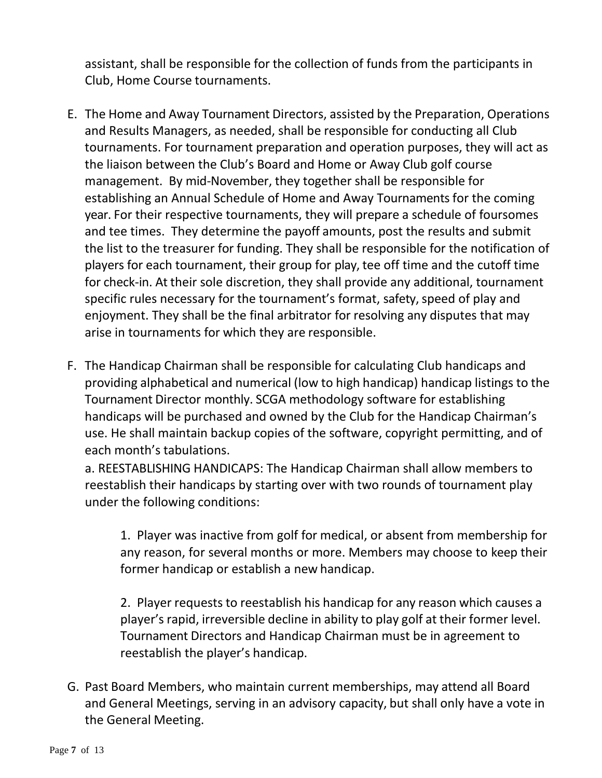assistant, shall be responsible for the collection of funds from the participants in Club, Home Course tournaments.

- E. The Home and Away Tournament Directors, assisted by the Preparation, Operations and Results Managers, as needed, shall be responsible for conducting all Club tournaments. For tournament preparation and operation purposes, they will act as the liaison between the Club's Board and Home or Away Club golf course management. By mid-November, they together shall be responsible for establishing an Annual Schedule of Home and Away Tournaments for the coming year. For their respective tournaments, they will prepare a schedule of foursomes and tee times. They determine the payoff amounts, post the results and submit the list to the treasurer for funding. They shall be responsible for the notification of players for each tournament, their group for play, tee off time and the cutoff time for check-in. At their sole discretion, they shall provide any additional, tournament specific rules necessary for the tournament's format, safety, speed of play and enjoyment. They shall be the final arbitrator for resolving any disputes that may arise in tournaments for which they are responsible.
- F. The Handicap Chairman shall be responsible for calculating Club handicaps and providing alphabetical and numerical (low to high handicap) handicap listings to the Tournament Director monthly. SCGA methodology software for establishing handicaps will be purchased and owned by the Club for the Handicap Chairman's use. He shall maintain backup copies of the software, copyright permitting, and of each month's tabulations.

a. REESTABLISHING HANDICAPS: The Handicap Chairman shall allow members to reestablish their handicaps by starting over with two rounds of tournament play under the following conditions:

1. Player was inactive from golf for medical, or absent from membership for any reason, for several months or more. Members may choose to keep their former handicap or establish a new handicap.

2. Player requests to reestablish his handicap for any reason which causes a player's rapid, irreversible decline in ability to play golf at their former level. Tournament Directors and Handicap Chairman must be in agreement to reestablish the player's handicap.

G. Past Board Members, who maintain current memberships, may attend all Board and General Meetings, serving in an advisory capacity, but shall only have a vote in the General Meeting.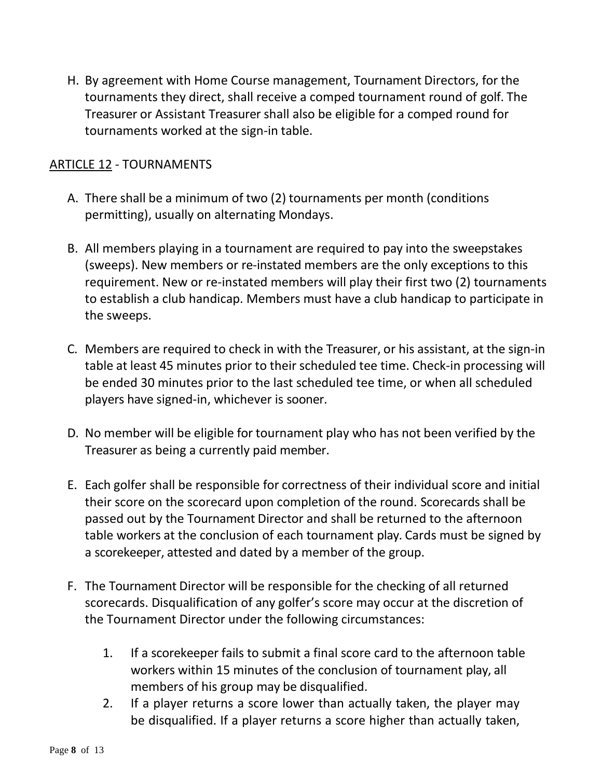H. By agreement with Home Course management, Tournament Directors, for the tournaments they direct, shall receive a comped tournament round of golf. The Treasurer or Assistant Treasurer shall also be eligible for a comped round for tournaments worked at the sign-in table.

### ARTICLE 12 - TOURNAMENTS

- A. There shall be a minimum of two (2) tournaments per month (conditions permitting), usually on alternating Mondays.
- B. All members playing in a tournament are required to pay into the sweepstakes (sweeps). New members or re-instated members are the only exceptions to this requirement. New or re-instated members will play their first two (2) tournaments to establish a club handicap. Members must have a club handicap to participate in the sweeps.
- C. Members are required to check in with the Treasurer, or his assistant, at the sign-in table at least 45 minutes prior to their scheduled tee time. Check-in processing will be ended 30 minutes prior to the last scheduled tee time, or when all scheduled players have signed-in, whichever is sooner.
- D. No member will be eligible for tournament play who has not been verified by the Treasurer as being a currently paid member.
- E. Each golfer shall be responsible for correctness of their individual score and initial their score on the scorecard upon completion of the round. Scorecards shall be passed out by the Tournament Director and shall be returned to the afternoon table workers at the conclusion of each tournament play. Cards must be signed by a scorekeeper, attested and dated by a member of the group.
- F. The Tournament Director will be responsible for the checking of all returned scorecards. Disqualification of any golfer's score may occur at the discretion of the Tournament Director under the following circumstances:
	- 1. If a scorekeeper fails to submit a final score card to the afternoon table workers within 15 minutes of the conclusion of tournament play, all members of his group may be disqualified.
	- 2. If a player returns a score lower than actually taken, the player may be disqualified. If a player returns a score higher than actually taken,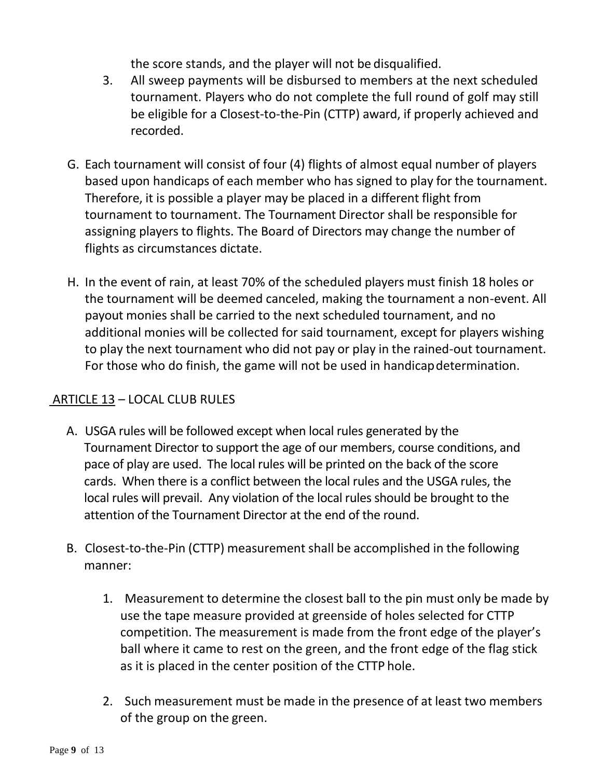the score stands, and the player will not be disqualified.

- 3. All sweep payments will be disbursed to members at the next scheduled tournament. Players who do not complete the full round of golf may still be eligible for a Closest-to-the-Pin (CTTP) award, if properly achieved and recorded.
- G. Each tournament will consist of four (4) flights of almost equal number of players based upon handicaps of each member who has signed to play for the tournament. Therefore, it is possible a player may be placed in a different flight from tournament to tournament. The Tournament Director shall be responsible for assigning players to flights. The Board of Directors may change the number of flights as circumstances dictate.
- H. In the event of rain, at least 70% of the scheduled players must finish 18 holes or the tournament will be deemed canceled, making the tournament a non-event. All payout monies shall be carried to the next scheduled tournament, and no additional monies will be collected for said tournament, except for players wishing to play the next tournament who did not pay or play in the rained-out tournament. For those who do finish, the game will not be used in handicapdetermination.

## ARTICLE 13 – LOCAL CLUB RULES

- A. USGA rules will be followed except when local rules generated by the Tournament Director to support the age of our members, course conditions, and pace of play are used. The local rules will be printed on the back of the score cards. When there is a conflict between the local rules and the USGA rules, the local rules will prevail. Any violation of the local rules should be brought to the attention of the Tournament Director at the end of the round.
- B. Closest-to-the-Pin (CTTP) measurement shall be accomplished in the following manner:
	- 1. Measurement to determine the closest ball to the pin must only be made by use the tape measure provided at greenside of holes selected for CTTP competition. The measurement is made from the front edge of the player's ball where it came to rest on the green, and the front edge of the flag stick as it is placed in the center position of the CTTP hole.
	- 2. Such measurement must be made in the presence of at least two members of the group on the green.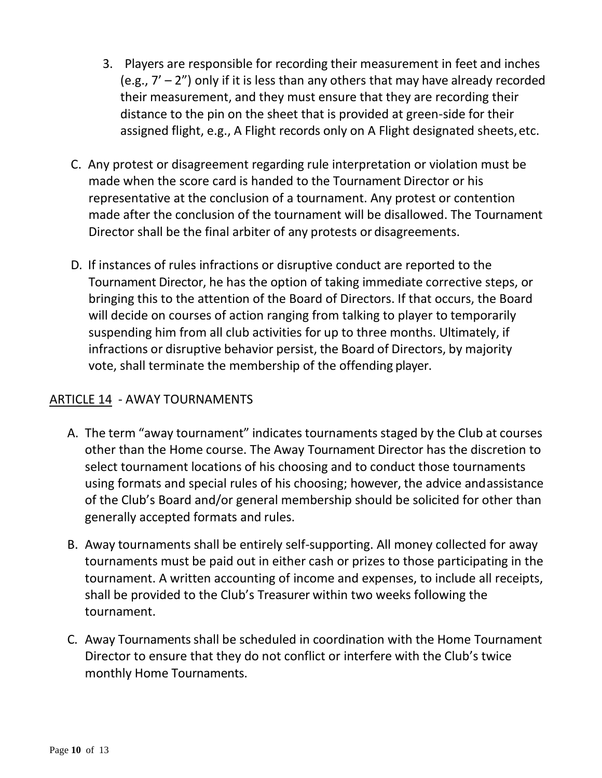- 3. Players are responsible for recording their measurement in feet and inches (e.g.,  $7' - 2''$ ) only if it is less than any others that may have already recorded their measurement, and they must ensure that they are recording their distance to the pin on the sheet that is provided at green-side for their assigned flight, e.g., A Flight records only on A Flight designated sheets, etc.
- C. Any protest or disagreement regarding rule interpretation or violation must be made when the score card is handed to the Tournament Director or his representative at the conclusion of a tournament. Any protest or contention made after the conclusion of the tournament will be disallowed. The Tournament Director shall be the final arbiter of any protests or disagreements.
- D. If instances of rules infractions or disruptive conduct are reported to the Tournament Director, he has the option of taking immediate corrective steps, or bringing this to the attention of the Board of Directors. If that occurs, the Board will decide on courses of action ranging from talking to player to temporarily suspending him from all club activities for up to three months. Ultimately, if infractions or disruptive behavior persist, the Board of Directors, by majority vote, shall terminate the membership of the offending player.

## ARTICLE 14 - AWAY TOURNAMENTS

- A. The term "away tournament" indicates tournaments staged by the Club at courses other than the Home course. The Away Tournament Director has the discretion to select tournament locations of his choosing and to conduct those tournaments using formats and special rules of his choosing; however, the advice andassistance of the Club's Board and/or general membership should be solicited for other than generally accepted formats and rules.
- B. Away tournaments shall be entirely self-supporting. All money collected for away tournaments must be paid out in either cash or prizes to those participating in the tournament. A written accounting of income and expenses, to include all receipts, shall be provided to the Club's Treasurer within two weeks following the tournament.
- C. Away Tournaments shall be scheduled in coordination with the Home Tournament Director to ensure that they do not conflict or interfere with the Club's twice monthly Home Tournaments.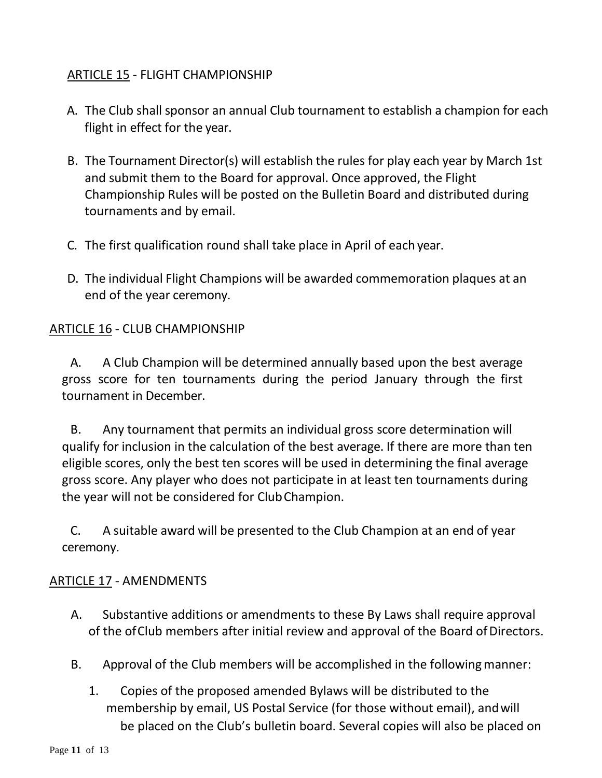## ARTICLE 15 - FLIGHT CHAMPIONSHIP

- A. The Club shall sponsor an annual Club tournament to establish a champion for each flight in effect for the year.
- B. The Tournament Director(s) will establish the rules for play each year by March 1st and submit them to the Board for approval. Once approved, the Flight Championship Rules will be posted on the Bulletin Board and distributed during tournaments and by email.
- C. The first qualification round shall take place in April of each year.
- D. The individual Flight Champions will be awarded commemoration plaques at an end of the year ceremony.

### ARTICLE 16 - CLUB CHAMPIONSHIP

A. A Club Champion will be determined annually based upon the best average gross score for ten tournaments during the period January through the first tournament in December.

B. Any tournament that permits an individual gross score determination will qualify for inclusion in the calculation of the best average. If there are more than ten eligible scores, only the best ten scores will be used in determining the final average gross score. Any player who does not participate in at least ten tournaments during the year will not be considered for ClubChampion.

C. A suitable award will be presented to the Club Champion at an end of year ceremony.

#### ARTICLE 17 - AMENDMENTS

- A. Substantive additions or amendments to these By Laws shall require approval of the of Club members after initial review and approval of the Board of Directors.
- B. Approval of the Club members will be accomplished in the followingmanner:
	- 1. Copies of the proposed amended Bylaws will be distributed to the membership by email, US Postal Service (for those without email), andwill be placed on the Club's bulletin board. Several copies will also be placed on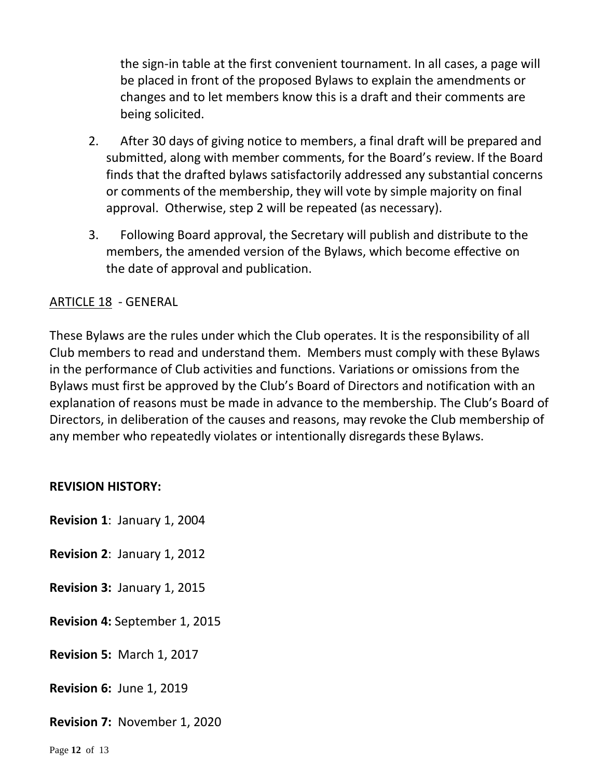the sign-in table at the first convenient tournament. In all cases, a page will be placed in front of the proposed Bylaws to explain the amendments or changes and to let members know this is a draft and their comments are being solicited.

- 2. After 30 days of giving notice to members, a final draft will be prepared and submitted, along with member comments, for the Board's review. If the Board finds that the drafted bylaws satisfactorily addressed any substantial concerns or comments of the membership, they will vote by simple majority on final approval. Otherwise, step 2 will be repeated (as necessary).
- 3. Following Board approval, the Secretary will publish and distribute to the members, the amended version of the Bylaws, which become effective on the date of approval and publication.

### ARTICLE 18 - GENERAL

These Bylaws are the rules under which the Club operates. It is the responsibility of all Club members to read and understand them. Members must comply with these Bylaws in the performance of Club activities and functions. Variations or omissions from the Bylaws must first be approved by the Club's Board of Directors and notification with an explanation of reasons must be made in advance to the membership. The Club's Board of Directors, in deliberation of the causes and reasons, may revoke the Club membership of any member who repeatedly violates or intentionally disregards these Bylaws.

#### **REVISION HISTORY:**

**Revision 1**: January 1, 2004

**Revision 2**: January 1, 2012

**Revision 3:** January 1, 2015

**Revision 4:** September 1, 2015

**Revision 5:** March 1, 2017

**Revision 6:** June 1, 2019

**Revision 7:** November 1, 2020